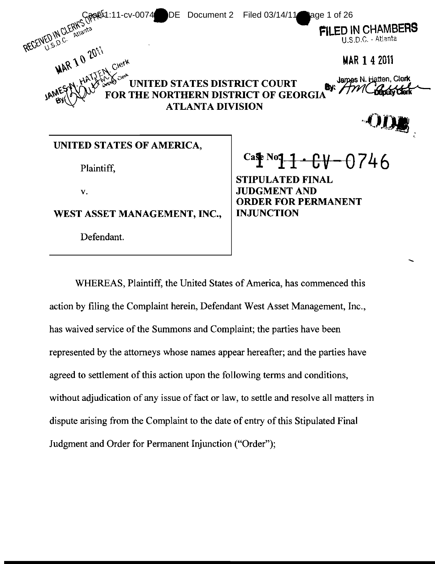

WHEREAS, Plaintiff, the United States of America, has commenced this action by filing the Complaint herein, Defendant West Asset Management, Inc., has waived service of the Summons and Complaint; the parties have been WHEREAS, Plaintiff, the United States of America, has commenced this<br>action by filing the Complaint herein, Defendant West Asset Management, Inc.,<br>has waived service of the Summons and Complaint; the parties have been<br>repr agreed to settlement of this action upon the following terms and conditions, agreed to settlement of this action upon the following terms and conditions,<br>without adjudication of any issue of fact or law, to settle and resolve all matters in dispute arising from the Complaint to the date of entry of this Stipulated Final dispute arising from the Complaint to the date of entry of<br>Judgment and Order for Permanent Injunction ("Order");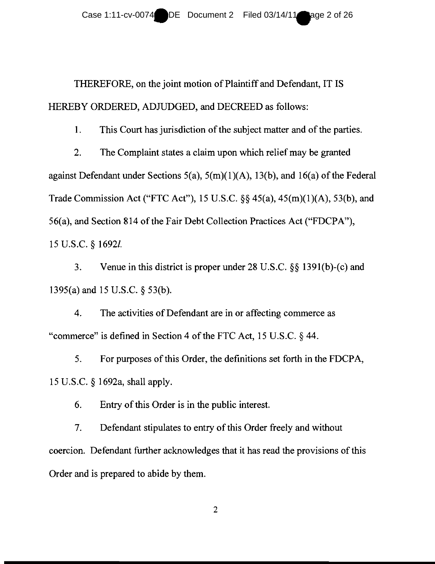THEREFORE, on the joint motion of Plaintiff and Defendant, IT IS HEREBY ORDERED, ADJUDGED, and DECREED as follows:

1. This Court has jurisdiction of the subject matter and of the parties.

2. The Complaint states a claim upon which relief may be granted against Defendant under Sections 5(a), 5(m)(I)(A), 13(b), and 16(a) of the Federal Trade Commission Act ("FTC Act"), 15 U.S.c. §§ 45(a), 45(m)(I)(A), 53(b), and 56(a), and Section 814 of the Fair Debt Collection Practices Act ("FDCPA"), 15 U.S.C. § 16921. 2. The Complaint states a claim upon which relief may be granted against Defendant under Sections 5(a), 5(m)(1)(A), 13(b), and 16(a) of the F<br>Trade Commission Act ("FTC Act"), 15 U.S.C.  $\S\S 45(a)$ , 45(m)(1)(A), 53(b)<br>56(a)

3. Venue in this district is proper under 28 U.S.C.  $\S\S$  1391(b)-(c) and<br>a) and 15 U.S.C.  $\S$  53(b). 1395(a) and 15 U.S.C. § 53(b).

4. The activities of Defendant are in or affecting commerce as 4. The activities of Defendant are in or affecting commerce as "commerce" is defined in Section 4 of the FTC Act, 15 U.S.C. § 44.

5. For purposes of this Order, the definitions set forth in the FDCPA, 15 U.S.c. § 1692a, shall apply.

15 U.S.C.  $\S$  1692a, shall apply.<br>6. Entry of this Order is in the public interest.

7. Defendant stipulates to entry of this Order freely and without coercion. Defendant further acknowledges that it has read the provisions of this Order and is prepared to abide by them. 7. Defendant stipulates to entry of this Order free<br>on. Defendant further acknowledges that it has read<br>and is prepared to abide by them.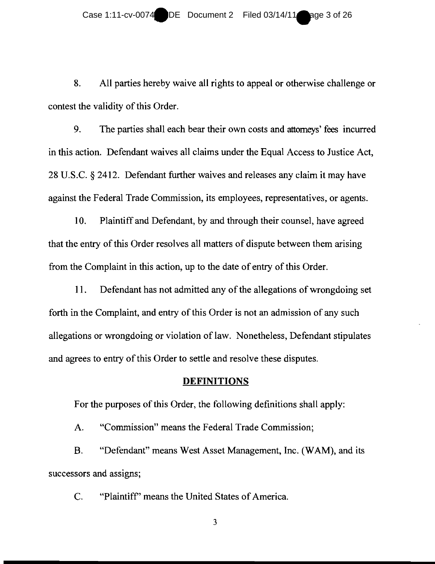8. All parties hereby waive all rights to appeal or otherwise challenge or contest the validity of this Order.

contest the validity of this Order.<br>
9. The parties shall each bear their own costs and attorneys' fees incurred in this action. Defendant waives all claims under the Equal Access to Justice Act, in this action. Defendant waives all claims under the Equal Access to Justice Ac<br>28 U.S.C. § 2412. Defendant further waives and releases any claim it may have against the Federal Trade Commission, its employees, representatives, or agents.

10. Plaintiff and Defendant, by and through their counsel, have agreed that the entry of this Order resolves all matters of dispute between them arising from the Complaint in this action, up to the date of entry of this Order.

11. Defendant has not admitted any of the allegations of wrongdoing set forth in the Complaint, and entry of this Order is not an admission of any such allegations or wrongdoing or violation of law. Nonetheless, Defendant stipulates and agrees to entry of this Order to settle and resolve these disputes. against the Federal Trade Commission, its employees, representatives, or agents.<br>
10. Plaintiff and Defendant, by and through their counsel, have agreed<br>
that the entry of this Order resolves all matters of dispute between

#### **DEFINITIONS**

For the purposes of this Order, the following definitions shall apply:<br>A. "Commission" means the Federal Trade Commission;

A. "Commission" means the Federal Trade Commission;

B. "Defendant" means West Asset Management, Inc. (WAM), and its successors and assigns;

C. "Plaintiff" means the United States of America.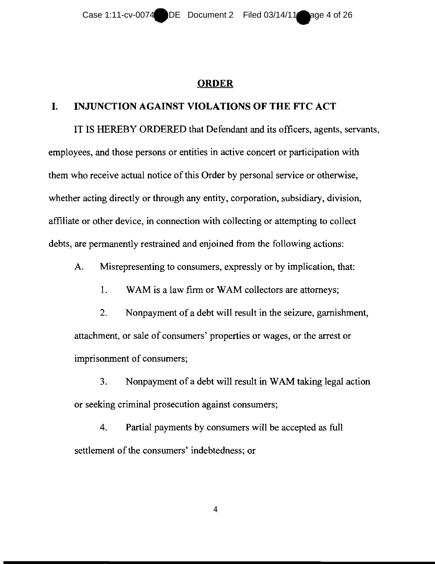# **ORDER ORDER**

# **I. INJUNCTION AGAINST VIOLATIONS OF THE FTC ACT**

IT IS HEREBY ORDERED that Defendant and its officers, agents, servants, IT IS HEREBY ORDERED that Defendant and its officers, agents, serv<br>employees, and those persons or entities in active concert or participation with them who receive actual notice of this Order by personal service or otherwise, whether acting directly or through any entity, corporation, subsidiary, division, affiliate or other device, in connection with collecting or attempting to collect debts, are permanently restrained and enjoined from the following actions: whether acting directly or through any entity, corporation, subsidiary, division,<br>affiliate or other device, in connection with collecting or attempting to collect<br>debts, are permanently restrained and enjoined from the fo

A. Misrepresenting to consumers, expressly or by implication, that:

I. WAM is a law firm or WAM collectors are attorneys; Misrepresenting to consumers, expressly or by implication, that:<br>
1. WAM is a law firm or WAM collectors are attorneys;<br>
2. Nonpayment of a debt will result in the seizure, garnishment,

attachment, or sale of consumers' properties or wages, or the arrest or imprisonment of consumers;

3. Nonpayment of a debt will result in WAM taking legal action or seeking criminal prosecution against consumers; imprisonment of consumers;<br>3. Nonpayment of a debt will result in WAM taking legal<br>or seeking criminal prosecution against consumers;

4. Partial payments by consumers will be accepted as full settlement of the consumers' indebtedness; or  $\frac{4}{4}$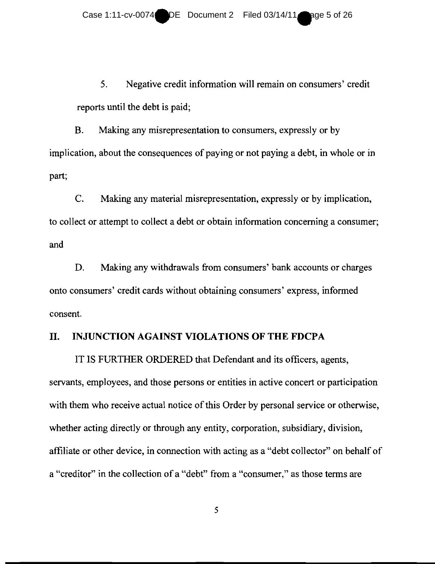Case 1:11-cv-0074 DE Document 2 Filed 03/14/11 age 5 of 26

5. Negative credit information will remain on consumers' credit reports until the debt is paid;

B. Making any misrepresentation to consumers, expressly or by implication, about the consequences of paying or not paying a debt, in whole or in part; reports until the debt is paid;<br>
B. Making any misrepresentation to consumers, expressly or by<br>
ation, about the consequences of paying or not paying a debt, in whole or in<br>
C. Making any material misrepresentation, expres

to collect or attempt to collect a debt or obtain information concerning a consumer;<br>and and

D. Making any withdrawals from consumers' bank accounts or charges D. Making any withdrawals from consumers' bank accounts or charges<br>onto consumers' credit cards without obtaining consumers' express, informed consent.

#### **II. INJUNCTION AGAINST VIOLATIONS OF THE FDCPA II. INJUNCTION AGAINST VIOLATIONS OF THE FDCPA**

IT IS FURTHER ORDERED that Defendant and its officers, agents, servants, employees, and those persons or entities in active concert or participation with them who receive actual notice of this Order by personal service or otherwise, whether acting directly or through any entity, corporation, subsidiary, division, affiliate or other device, in connection with acting as a "debt collector" on behalf of a "creditor" in the collection of a "debt" from a "consumer," as those terms are  $\frac{5}{100}$ servants, employees, and those persons or entities in active concert or participation<br>with them who receive actual notice of this Order by personal service or otherwise,<br>whether acting directly or through any entity, corpo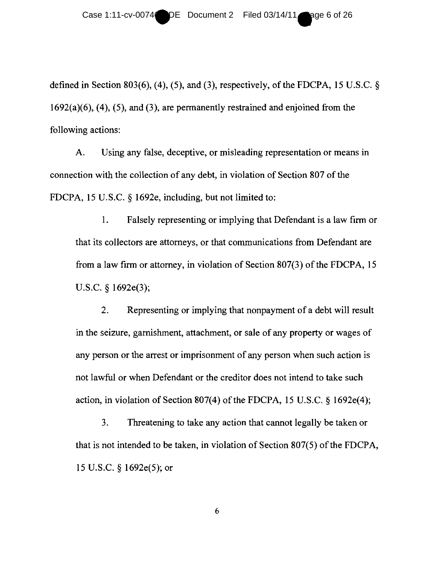defined in Section 803(6), (4), (5), and (3), respectively, of the FDCPA, 15 U.S.C.  $\hat{\S}$  $1692(a)(6)$ ,  $(4)$ ,  $(5)$ , and  $(3)$ , are permanently restrained and enjoined from the following actions: defined in Section 803(6), (4), (5), and (3), respectively, of the FDCPA, 15 U.S.C. §<br>1692(a)(6), (4), (5), and (3), are permanently restrained and enjoined from the<br>following actions:<br>A. Using any false, deceptive, or mi

A. Using any false, deceptive, or misleading representation or means in connection with the collection of any debt, in violation of Section 807 of the FDCPA, 15 U.S.C. § 1692e, including, but not limited to: FDCPA, 15 U.S.C. § 1692e, including, but not limited to:

1. Falsely representing or implying that Defendant is a law firm or that its collectors are attorneys, or that communications from Defendant are that its collectors are attorneys, or that communications from Defendant are from a law firm or attorney, in violation of Section 807(3) of the FDCPA, 15 U.S.C. § 1692e(3);

2. Representing or implying that nonpayment of a debt will result in the seizure, garnishment, attachment, or sale of any property or wages of in the seizure, garnishment, attachment, or sale of any property or wages of<br>any person or the arrest or imprisonment of any person when such action is not lawful or when Defendant or the creditor does not intend to take such action, in violation of Section 807(4) of the FDCPA, 15 U.S.C. § 1692e(4);

3. Threatening to take any action that cannot legally be taken or action, in violation of Section 807(4) of the FDCPA, 15 U.S.C. § 1692e(4);<br>3. Threatening to take any action that cannot legally be taken or<br>that is not intended to be taken, in violation of Section 807(5) of the FDCPA, 15 U.S.C. § 1692e(5); or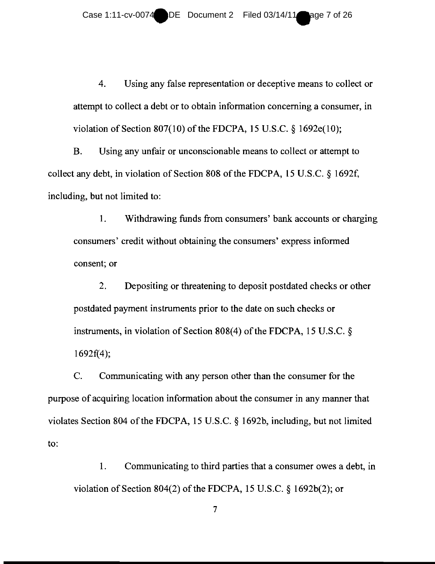Case 1:11-cv-0074 DE Document 2 Filed 03/14/11 age 7 of 26

4. Using any false representation or deceptive means to collect or 4. Using any false representation or deceptive means to collect or<br>attempt to collect a debt or to obtain information concerning a consumer, in violation of Section 807(10) of the FDCPA, 15 U.S.C.  $\S$  1692e(10);

B. Using any unfair or unconscionable means to collect or attempt to collect any debt, in violation of Section 808 ofthe FDCPA, 15 U.S.c. § 1692f, including, but not limited to: Using any unfair or unconscionable means to collect or attempt to<br>debt, in violation of Section 808 of the FDCPA, 15 U.S.C.  $\S$  1692f,<br>but not limited to:

1. Withdrawing funds from consumers' bank accounts or charging 1. Withdrawing funds from consumers' bank accounts or ch<br>consumers' credit without obtaining the consumers' express informed consent; or

2. Depositing or threatening to deposit postdated checks or other 2. Depositing or threatening to deposit postdated checks or other postdated payment instruments prior to the date on such checks or instruments, in violation of Section 808(4) of the FDCPA, 15 U.S.C.  $\S$ <br>1692f(4); 1692f(4);

C. Communicating with any person other than the consumer for the purpose of acquiring location information about the consumer in any manner that violates Section 804 of the FDCPA, 15 U.S.C. § 1692b, including, but not limited to: purpose of acquiring location information about the consumer in any mann<br>violates Section 804 of the FDCPA, 15 U.S.C. § 1692b, including, but not<br>to:

1. Communicating to third parties that a consumer owes a debt, in 1. Communicating to third parties that a consumer owes a debt, in violation of Section 804(2) of the FDCPA, 15 U.S.C. § 1692b(2); or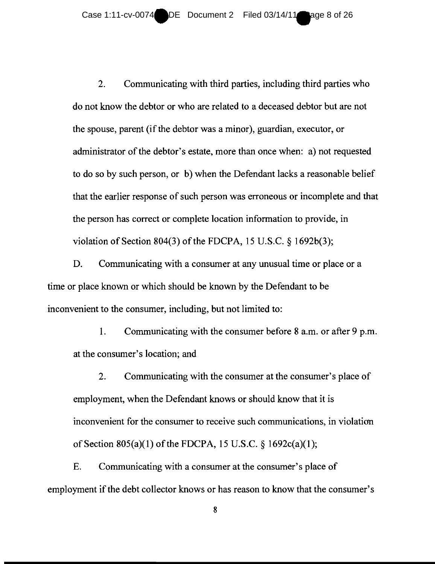2. Communicating with third parties, including third parties who do not know the debtor or who are related to a deceased debtor but are not the spouse, parent (if the debtor was a minor), guardian, executor, or 2. Communicating with third parties, including third parties who<br>do not know the debtor or who are related to a deceased debtor but are not<br>the spouse, parent (if the debtor was a minor), guardian, executor, or<br>administrat to do so by such person, or b) when the Defendant lacks a reasonable belief that the earlier response of such person was erroneous or incomplete and that the person has correct or complete location information to provide, in violation of Section 804(3) of the FDCPA, 15 U.S.C.  $\S$  1692b(3); to do so by such person, or b) when the Defendant lacks a reasonable belief<br>that the earlier response of such person was erroneous or incomplete and that<br>the person has correct or complete location information to provide,

D. Communicating with a consumer at any unusual time or place or a time or place known or which should be known by the Defendant to be inconvenient to the consumer, including, but not limited to:

I. Communicating with the consumer before 8 a.m. or after 9 p.m. at the consumer's location; and

2. Communicating with the consumer at the consumer's place of 1. Communicating with the consumer before 8 a.m. or after 9 p.m.<br>
at the consumer's location; and<br>
2. Communicating with the consumer at the consumer's place of<br>
employment, when the Defendant knows or should know that it inconvenient for the consumer to receive such communications, in violation of Section 805(a)(1) of the FDCPA, 15 U.S.C.  $\S$  1692c(a)(1);

E. Communicating with a consumer at the consumer's place of employment if the debt collector knows or has reason to know that the consumer's of Section 805(a)(1) of the FDCPA, 15 U.S.C.  $\S$  1692c(a)(1);<br>E. Communicating with a consumer at the consumer's place<br>employment if the debt collector knows or has reason to know that the<br>8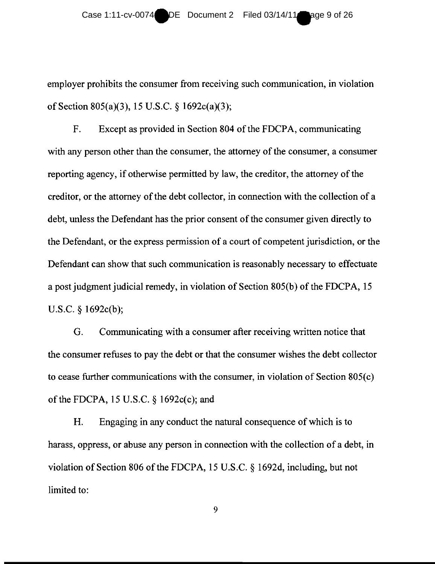employer prohibits the consumer from receiving such communication, in violation of Section 805(a)(3), 15 U.S.C. § l692c(a)(3);

Section 805(a)(3), 15 U.S.C. § 1692c(a)(3);<br>F. Except as provided in Section 804 of the FDCPA, communicating with any person other than the consumer, the attorney of the consumer, a consumer with any person other than the consumer, the attorney the consumer, a consumer reporting agency, if otherwise permitted by law, the creditor, the attorney of the creditor, or the attorney of the debt collector, in connection with the collection of a debt, unless the Defendant has the prior consent of the consumer given directly to the Defendant, or the express permission of a court of competent jurisdiction, or the Defendant can show that such communication is reasonably necessary to effectuate a post judgment judicial remedy, in violation of Section 805(b) of the FDCPA, 15 U.S.C. § l692c(b); reporting agency, if otherwise permitted by law, the creditor, the attorney of the creditor, or the attorney of the debt collector, in connection with the collection of a debt, unless the Defendant has the prior consent of

G. Communicating with a consumer after receiving written notice that the consumer refuses to pay the debt or that the consumer wishes the debt collector to cease further communications with the consumer, in violation of Section 805(c) of the FDCPA, 15 U.S.C. § l692c(c); and U.S.C. § 1692c(b);<br>
G. Communicating with a consumer after receiving written notice that<br>
the consumer refuses to pay the debt or that the consumer wishes the debt collector<br>
to cease further communications with the consu

H. Engaging in any conduct the natural consequence of which is to harass, oppress, or abuse any person in connection with the collection of a debt, in violation of Section 806 of the FDCPA, 15 U.S.C. § l692d, including, but not limited to: limited to: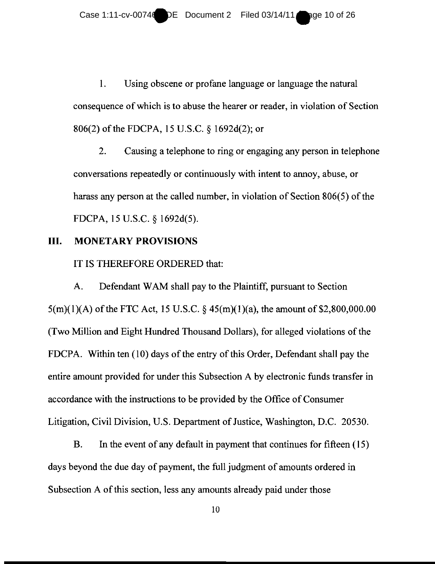Case 1:11-cv-00746 DE Document 2 Filed 03/14/11 age 10 of 26

I. Using obscene or profane language or language the natural 1. Using obscene or profane language or language the natural<br>consequence of which is to abuse the hearer or reader, in violation of Section 806(2) of the FDCPA, 15 U.S.C. § 1692d(2); or of the FDCPA, 15 U.S.C.  $\S$  1692d(2); or<br>2. Causing a telephone to ring or engaging any person in telephone

conversations repeatedly or continuously with intent to annoy, abuse, or harass any person at the called number, in violation of Section 806(5) of the FDCPA, 15 U.S.C. § 1692d(5). conversations repeatedly or continuously with intent to annoy, abuse, or<br>harass any person at the called number, in violation of Section 806(5) of<br>FDCPA, 15 U.S.C. § 1692d(5).

#### **III. MONETARY PROVISIONS**

# **III. MONETARY PROVISIONS**<br>IT IS THEREFORE ORDERED that:

A. Defendant WAM shall pay to the Plaintiff, pursuant to Section  $5(m)(1)(A)$  of the FTC Act, 15 U.S.C. § 45 $(m)(1)(a)$ , the amount of \$2,800,000.00 (Two Million and Eight Hundred Thousand Dollars), for alleged violations of the FDCPA. Within ten (10) days of the entry of this Order, Defendant shall pay the entire amount provided for under this Subsection A by electronic funds transfer in accordance with the instructions to be provided by the Office of Consumer Litigation, Civil Division, U.S. Department of Justice, Washington, D.C. 20530. A. Defendant WAM shall pay to the Plaintiff, pursuant to Section  $5(m)(1)(A)$  of the FTC Act, 15 U.S.C.  $\S$  45(m)(1)(a), the amount of \$2,800, (Two Million and Eight Hundred Thousand Dollars), for alleged violations FDCPA. W

B. In the event of any default in payment that continues for fifteen (15) days beyond the due day of payment, the full judgment of amounts ordered in Subsection A of this section, less any amounts already paid under those B. In the event of any default in payment that continues for fifteen (15) days beyond the due day of payment, the full judgment of amounts ordered in Subsection A of this section, less any amounts already paid under those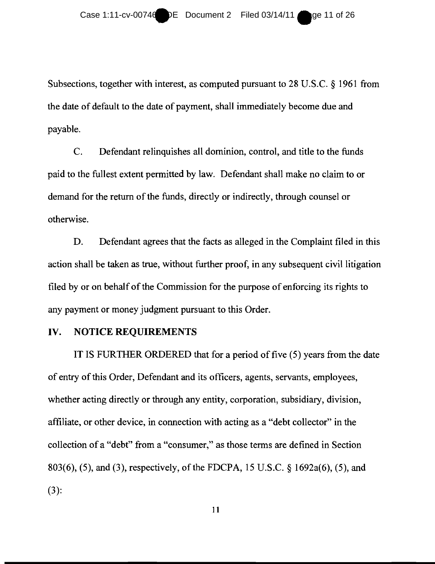Subsections, together with interest, as computed pursuant to 28 U.S.C.  $\S$  1961 from the date of default to the date of payment, shall immediately become due and payable. payable.

C. Defendant relinquishes all dominion, control, and title to the funds C. Defendant relinquishes all dominion, control, and title to the funds<br>paid to the fullest extent permitted by law. Defendant shall make no claim to or demand for the return of the funds, directly or indirectly, through counsel or otherwise. otherwise.

D. Defendant agrees that the facts as alleged in the Complaint filed in this action shall be taken as true, without further proof, in any subsequent civil litigation filed by or on behalf of the Commission for the purpose of enforcing its rights to<br>any payment or money judgment pursuant to this Order. any payment or money judgment pursuant to this Order.

#### **IV. NOTICE REQUIREMENTS IV. NOTICE**

IT IS FURTHER ORDERED that for a period of five (5) years from the date IT IS FURTHER ORDERED that for a period of five (5) years from the<br>of entry of this Order, Defendant and its officers, agents, servants, employees, whether acting directly or through any entity, corporation, subsidiary, division, affiliate, or other device, in connection with acting as a "debt collector" in the collection of a "debt" from a "consumer," as those terms are defined in Section 803(6), (5), and (3), respectively, of the FDCPA, 15 U.S.C.  $\S$  1692a(6), (5), and  $(3)$ : or other device, in connection with acting as a "debt collector" in the<br>on of a "debt" from a "consumer," as those terms are defined in Section<br>(5), and (3), respectively, of the FDCPA, 15 U.S.C.  $\S$  1692a(6), (5), and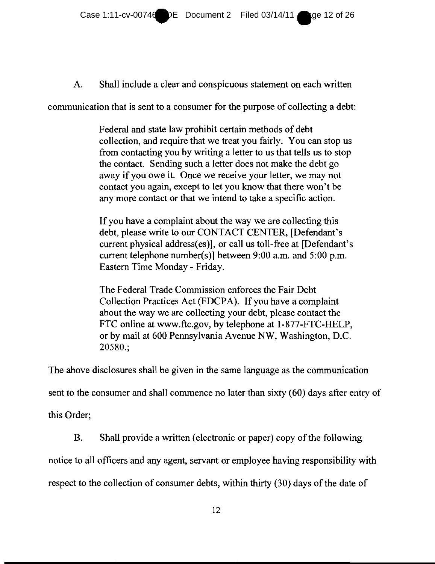A. Shall include a clear and conspicuous statement on each written

communication that is sent to a consumer for the purpose of collecting a debt:<br>Federal and state law prohibit certain methods of debt Federal and state law prohibit certain methods of debt collection, and require that we treat you fairly. You can stop us collection, and require that we treat you fairly. You can stop us<br>from contacting you by writing a letter to us that tells us to stop the contact. Sending such a letter does not make the debt go the contact. Sending such a letter does not make the debt go<br>away if you owe it. Once we receive your letter, we may not contact you again, except to let you know that there won't be contact you again, except to let you know that there won't b<br>any more contact or that we intend to take a specific action.

> If you have a complaint about the way we are collecting this debt, please write to our CONTACT CENTER, [Defendant's debt, please write to our CONTACT CENTER, [Defendant's current physical address(es)], or call us toll-free at [Defendant's current telephone number(s)] between 9:00 a.m. and 5:00 p.m. Eastern Time Monday - Friday. current physical address(es)], or call us toll-free at [E]<br>current telephone number(s)] between 9:00 a.m. and<br>Eastern Time Monday - Friday.

The Federal Trade Commission enforces the Fair Debt Collection Practices Act (FDCPA). If you have a complaint about the way we are collecting your debt, please contact the about the way we are collecting your debt, please contact the FTC online at www.ftc.gov, by telephone at 1-877-FTC-HELP, or by mail at 600 Pennsylvania Avenue NW, Washington, D.C. 20580.; FTC online at www.ftc.gov, by telephone at 1-877-FTC-HELP,<br>or by mail at 600 Pennsylvania Avenue NW, Washington, D.C.<br>20580.;<br>The above disclosures shall be given in the same language as the communication<br>sent to the consu

The above disclosures shall be given in the same language as the communication

sent to the consumer and shall commence no later than sixty (60) days after entry of

this Order;

B. Shall provide a written (electronic or paper) copy of the following

notice to all officers and any agent, servant or employee having responsibility with respect to the collection of consumer debts, within thirty (30) days of the date of 12 respect to the collection of consumer debts, within thirty (30) days of the date of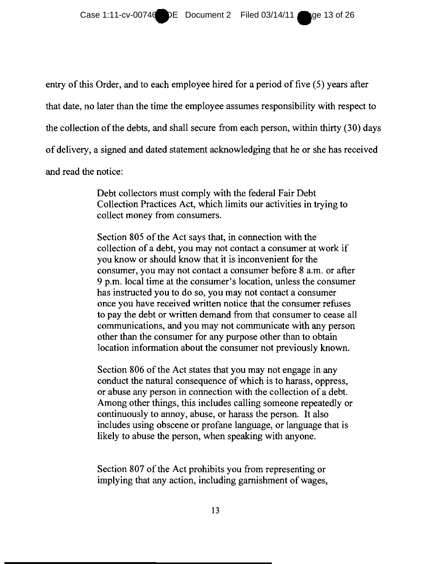entry of this Order, and to each employee hired for a period of five (5) years after that date, no later than the time the employee assumes responsibility with respect to the collection of the debts, and shall secure from each person, within thirty (30) days of delivery, a signed and dated statement acknowledging that he or she has received and read the notice:

Debt collectors must comply with the federal Fair Debt and read the notice:<br>
Debt collectors must comply with the federal Fair Debt<br>
Collection Practices Act, which limits our activities in trying to collect money from consumers.

collect money from consumers.<br>Section 805 of the Act says that, in connection with the collection of a debt, you may not contact a consumer at work if<br>you know or should know that it is inconvenient for the<br>consumer, you may not contact a consumer before 8 a.m. or after you know or should know that it is inconvenient for the consumer, you may not contact a consumer before 8 a.m. or after 9 p.m. local time at the consumer's location, unless the consumer has instructed you to do so, you may not contact a consumer once you have received written notice that the consumer refuses to pay the debt or written demand from that consumer to cease all communications, and you may not communicate with any person other than the consumer for any purpose other than to obtain location information about the consumer not previously known. to pay the debt or written demand from that consumer to cease all communications, and you may not communicate with any person other than the consumer for any purpose other than to obtain

Section 806 of the Act states that you may not engage in any conduct the natural consequence of which is to harass, oppress, or abuse any person in connection with the collection of a debt. conduct the natural consequence of which is to harass, oppress,<br>or abuse any person in connection with the collection of a debt.<br>Among other things, this includes calling someone repeatedly or continuously to annoy, abuse, or harass the person. It also includes using obscene or profane language, or language that is likely to abuse the person, when speaking with anyone.

Section 807 of the Act prohibits you from representing or implying that any action, including garnishment of wages,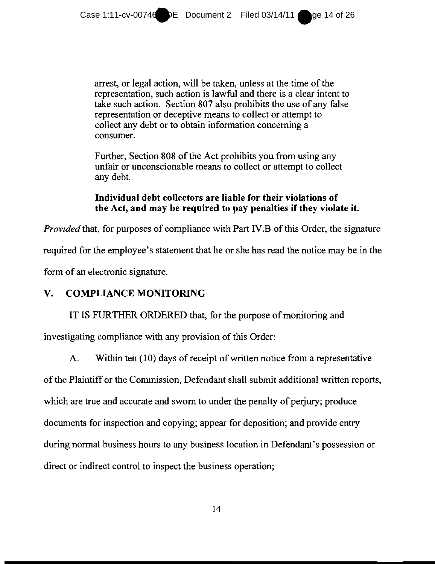arrest, or legal action, will be taken, unless at the time of the representation, such action is lawful and there is a clear intent to take such action. Section 807 also prohibits the use of any false representation or deceptive means to collect or attempt to collect any debt or to obtain information concerning a collect any debt or obtain consumer. consumer.

Further, Section 808 of the Act prohibits you from using any unfair or unconscionable means to collect or attempt to collect any debt. any debt.

### **Individual debt collectors are liable for their violations of**  Individual debt collectors are liable for their violations of<br>the Act, and may be required to pay penalties if they violate it.

*Provided* that, for purposes of compliance with Part IV.B of this Order, the signature required for the employee's statement that he or she has read the notice may be in the form of an electronic signature.

# V. **COMPLIANCE MONITORING**

IT IS FURTHER ORDERED that, for the purpose of monitoring and V. COMPLIANCE MONITORING<br>IT IS FURTHER ORDERED that, for the purpose of monitoring and<br>investigating compliance with any provision of this Order:

investigating compliance with any provision of this Order:

A. Within ten  $(10)$  days of receipt of written notice from a representative

of the Plaintiff or the Commission, Defendant shall submit additional written reports, which are true and accurate and sworn to under the penalty of perjury; produce documents for inspection and copying; appear for deposition; and provide entry during normal business hours to any business location in Defendant's possession or direct or indirect control to inspect the business operation;<br>
14 A. Within ten (10) days of receipt of written notice from a representative<br>of the Plaintiff or the Commission, Defendant shall submit additional written reports<br>which are true and accurate and sworn to under the penalty of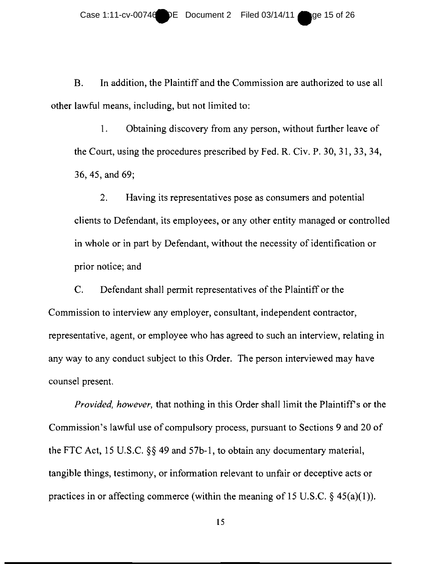Case 1:11-cv-00746 DE Document 2 Filed 03/14/11 9ge 15 of 26

B. **In** addition, the Plaintiff and the Commission are authorized to use all other lawful means, including, but not limited to:

I. Obtaining discovery from any person, without further leave of the Court, using the procedures prescribed by Fed. R. Civ. P. 30, 31,33,34, 36,45, and 69;

2. Having its representatives pose as consumers and potential clients to Defendant, its employees, or any other entity managed or controlled in whole or in part by Defendant, without the necessity of identification or prior notice; and B. In addition, the Plaintiff and the Commission are authorized to use all other lawful means, including, but not limited to:<br>
1. Obtaining discovery from any person, without further leave of the Court, using the procedure

C. Defendant shall permit representatives of the Plaintiff or the Commission to interview any employer, consultant, independent contractor, representative, agent, or employee who has agreed to such an interview, relating in any way to any conduct subject to this Order. The person interviewed may have counsel present. present. prior notice; and<br>
C. Defendant shall permit representatives of the Plaintiff or the<br>
Commission to interview any employer, consultant, independent contractor,<br>
representative, agent, or employee who has agreed to such an

*Provided, however, that nothing in this Order shall limit the Plaintiff's or the* Commission's lawful use of compulsory process, pursuant to Sections 9 and 20 of the FTC Act, 15 U.S.C. §§ 49 and 57b-l, to obtain any documentary material, *Provided, however, that nothing in this Order shall limit the Plaintiff's or the*<br>Commission's lawful use of compulsory process, pursuant to Sections 9 and 20 of<br>the FTC Act, 15 U.S.C. §§ 49 and 57b-1, to obtain any docum practices in or affecting commerce (within the meaning of 15 U.S.C.  $\S$  45(a)(1)).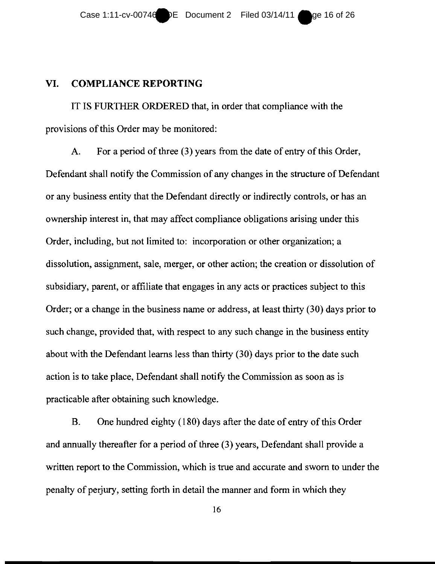#### **VI. COMPLIANCE REPORTING VI.**

IT IS FURTHER ORDERED that, in order that compliance with the provisions of this Order may be monitored: provisions of this Order may be monitored:

A. For a period of three (3) years from the date of entry of this Order, Defendant shall notify the Commission of any changes in the structure of Defendant or any business entity that the Defendant directly or indirectly controls, or has an ownership interest in, that may affect compliance obligations arising under this Order, including, but not limited to: incorporation or other organization; a dissolution, assignment, sale, merger, or other action; the creation or dissolution of subsidiary, parent, or affiliate that engages in any acts or practices subject to this Order; or a change in the business name or address, at least thirty  $(30)$  days prior to such change, provided that, with respect to any such change in the business entity about with the Defendant learns less than thirty (30) days prior to the date such<br>action is to take place, Defendant shall notify the Commission as soon as is<br>practicable after obtaining such knowledge.<br>B. One hundred eigh action is to take place, Defendant shall notify the Commission as soon as is practicable after obtaining such knowledge. ownership interest in, that may affect compliance obligations arising under this<br>Order, including, but not limited to: incorporation or other organization; a<br>dissolution, assignment, sale, merger, or other action; the crea

B. One hundred eighty (180) days after the date of entry of this Order and annually thereafter for a period of three (3) years, Defendant shall provide a and annually thereafter for a period of three (3) years, Defendant shall provide a<br>written report to the Commission, which is true and accurate and sworn to under the penalty of perjury, setting forth in detail the manner and form in which they<br>16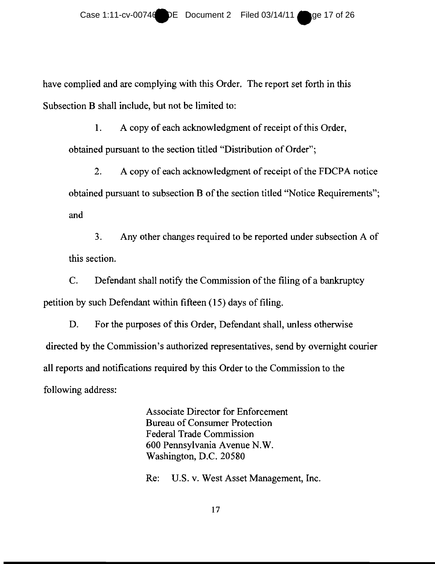have complied and are complying with this Order. The report set forth in this<br>Subsection B shall include, but not be limited to: Subsection B shall include, but not be limited to:

1. A copy of each acknowledgment of receipt of this Order, obtained pursuant to the section titled "Distribution of Order";

2. A copy of each acknowledgment of receipt of the FDCPA notice obtained pursuant to subsection B of the section titled "Notice Requirements"; and 2. A copy of each acknowledgment of receipt of the FDCPA obtained pursuant to subsection B of the section titled "Notice Requiren and

3. Any other changes required to be reported under subsection A of this section.

C. Defendant shall notify the Commission of the filing of a bankruptcy petition by such Defendant within fifteen (15) days of filing.

D. For the purposes of this Order, Defendant shall, unless otherwise directed by the Commission's authorized representatives, send by overnight courier all reports and notifications required by this Order to the Commission to the<br>
following address:<br>
Associate Director for Enforcement<br>
Bureau of Consumer Protection following address:

Associate Director for Enforcement Bureau of Consumer Protection Federal Trade Commission Federal Commission 600 Pennsylvania Avenue N.W. Washington, D.C. 20580 600 Pennsylvania Avenue N.W.<br>Washington, D.C. 20580<br>Re: U.S. v. West Asset Management, Inc.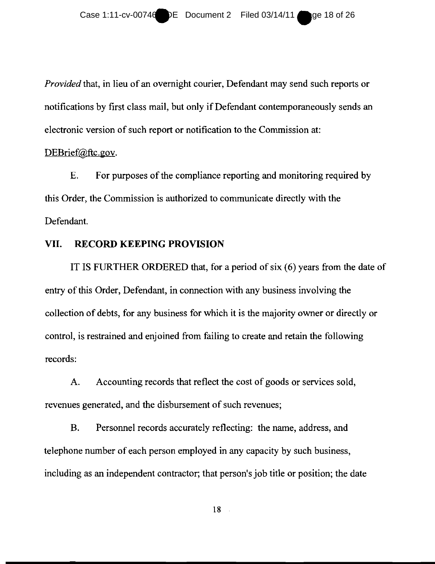*Provided* that, in lieu of an overnight courier, Defendant may send such reports or *Provided* that, in lieu of an overnight courier, Defendant may send such reports or notifications by first class mail, but only if Defendant contemporaneously sends an electronic version of such report or notification to the Commission at:

#### DEBrief@ftc.gov.

E. For purposes of the compliance reporting and monitoring required by E. For purposes of the compliance reporting and monitoring required<br>this Order, the Commission is authorized to communicate directly with the Defendant.

#### **VII. RECORD KEEPING PROVISION VII.**

IT IS FURTHER ORDERED that, for a period of six (6) years from the date of IT IS FURTHER ORDERED that, for a period of six (6) years from the<br>entry of this Order, Defendant, in connection with any business involving the collection of debts, for any business for which it is the majority owner or directly or control, is restrained and enjoined from failing to create and retain the following<br>records: records:

A. Accounting records that reflect the cost of goods or services sold, A. Accounting records that reflect the cost goods or services sold, revenues generated, and the disbursement of such revenues;

B. Personnel records accurately reflecting: the name, address, and B. Personnel records accurately reflecting: the name, address, and<br>telephone number of each person employed in any capacity by such business, including as an independent contractor; that person's job title or position; the date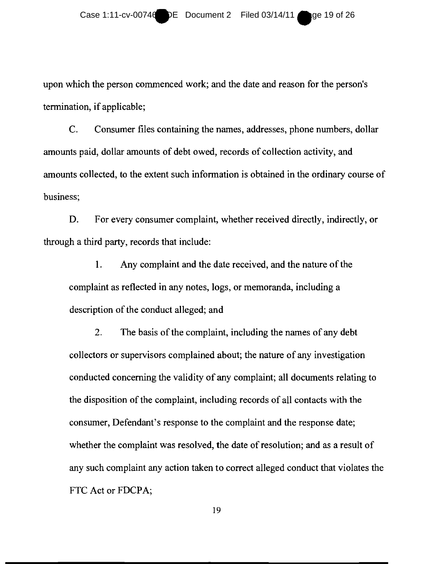upon which the person commenced work; and the date and reason for the person's termination, if applicable; ation, if applicable;<br>C. Consumer files containing the names, addresses, phone numbers, dollar

amounts paid, dollar amounts of debt owed, records of collection activity, and amounts paid, dollar amounts of debt owed, records of collection activity, and amounts collected, to the extent such information is obtained in the ordinary course of business; amounts collected, to the extent such information is obtained in the ordinary course o<br>business;<br>D. For every consumer complaint, whether received directly, indirectly, or

through a third party, records that include: through a third party, records that include:<br>1. Any complaint and the date received, and the nature of the

complaint as reflected in any notes, logs, or memoranda, including a<br>description of the conduct alleged; and description of the conduct alleged; and

2. The basis of the complaint, including the names of any debt collectors or supervisors complained about; the nature of any investigation conducted concerning the validity of any complaint; all documents relating to<br>the disposition of the complaint, including records of all contacts with the the disposition of the complaint, including records of all contacts with the consumer, Defendant's response to the complaint and the response date; whether the complaint was resolved, the date of resolution; and as a result of consumer, Defendant's response to the complaint and the response date;<br>whether the complaint was resolved, the date of resolution; and as a result of<br>any such complaint any action taken to correct alleged conduct that viol FTC Act or FDCPA;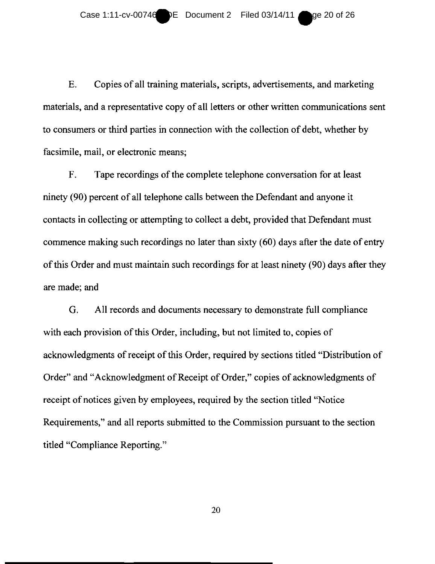E. Copies of all training materials, scripts, advertisements, and marketing E. Copies of all training materials, scripts, advertisements, and marketing<br>materials, and a representative copy of all letters or other written communications sent to consumers or third parties in connection with the collection of debt, whether by facsimile, mail, or electronic means; facsimile, mail, or electronic

F. Tape recordings of the complete telephone conversation for at least ninety (90) percent of all telephone calls between the Defendant and anyone it ninety (90) percent of all telephone calls between the Defendant and anyone it<br>contacts in collecting or attempting to collect a debt, provided that Defendant must commence making such recordings no later than sixty (60) days after the date of entry of this Order and must maintain such recordings for at least ninety (90) days after they are made; and

G. All records and documents necessary to demonstrate full compliance are made; and<br>
G. All records and documents necessary to demonstrate full compliance<br>
with each provision of this Order, including, but not limited to, copies of acknowledgments of receipt of this Order, required by sections titled "Distribution of Order" and "Acknowledgment of Receipt of Order," copies of acknowledgments of receipt of notices given by employees, required by the section titled "Notice Requirements," and all reports submitted to the Commission pursuant to the section titled "Compliance Reporting." acknowledgments of receipt of this Order, required by sections titled "Distribution o<br>Order" and "Acknowledgment of Receipt of Order," copies of acknowledgments of<br>receipt of notices given by employees, required by the sec titled "Compliance Reporting."<br>
20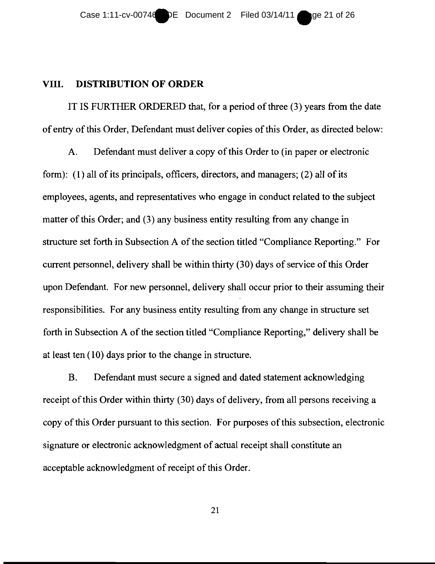### **VIII. DISTRIBUTION OF ORDER**  VIII. **DISTRIBUTION OF ORDER**

IT IS FURTHER ORDERED that, for a period of three (3) years from the date of entry of this Order, Defendant must deliver copies of this Order, as directed below:

A. Defendant must deliver a copy of this Order to (in paper or electronic form): (1) all of its principals, officers, directors, and managers; (2) all of its employees, agents, and representatives who engage in conduct related to the subject matter of this Order; and  $(3)$  any business entity resulting from any change in structure set forth in Subsection A of the section titled "Compliance Reporting." For current personnel, delivery shall be within thirty (30) days of service ofthis Order upon Defendant. For new personnel, delivery shall occur prior to their assuming their responsibilities. For any business entity resulting from any change in structure set forth in Subsection A of the section titled "Compliance Reporting," delivery shall be at least ten (10) days prior to the change in structure. IT IS FURTHER ORDERED that, for a period of three (3) years from the date<br>of entry of this Order, Defendant must deliver copies of this Order, as directed belov<br>A. Defendant must deliver a copy of this Order to (in paper o matter of this Order; and (3) any business entity resulting from any change in<br>structure set forth in Subsection A of the section titled "Compliance Reporting." F<br>current personnel, delivery shall occur to their assuming t

B. Defendant must secure a signed and dated statement acknowledging receipt of this Order within thirty (30) days of delivery, from all persons receiving a copy of this Order pursuant to this section. For purposes of this subsection, electronic signature or electronic acknowledgment of actual receipt shall constitute an acceptable acknowledgment of receipt of this Order.<br>
21 the in structure.<br>
B. Defendant must secure a signed and dated statement acknowledging<br>
receipt of this Order within thirty (30) days of delivery, from all persons receiving a<br>
copy of this Order pursuant to this section.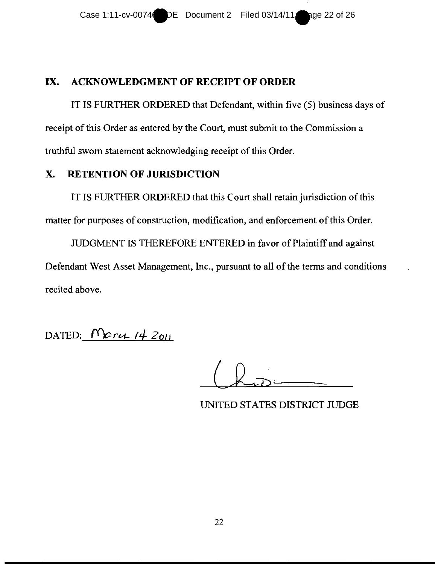# **IX. ACKNOWLEDGMENT OF RECEIPT OF ORDER IX. ACKNOWLEDGMENT OF RECEIPT ORDER**

IT IS FURTHER ORDERED that Defendant, within five (5) business days of receipt of this Order as entered by the Court, must submit to the Commission a truthful sworn statement acknowledging receipt of this Order. IS FURTHER ORDERED that Defendant, within five (5) business days<br>this Order as entered by the Court, must submit to the Commission a<br>worn statement acknowledging receipt of this Order.

# **X. RETENTION OF JURISDICTION X. RETENTION OF JURISDICTION**

IT IS FURTHER ORDERED that this Court shall retain jurisdiction of this matter for purposes of construction, modification, and enforcement of this Order.

JUDGMENT IS THEREFORE ENTERED in favor of Plaintiff and against matter for purposes of construction, modification, and enforcement of this Order.<br>
JUDGMENT IS THEREFORE ENTERED in favor of Plaintiff and against<br>
Defendant West Asset Management, Inc., pursuant to all of the terms and co recited above.

DATED: *<u>Nary 14 2011</u>* 

UNITED STATES DISTRICT JUDGE STATES DISTRICT JUDGE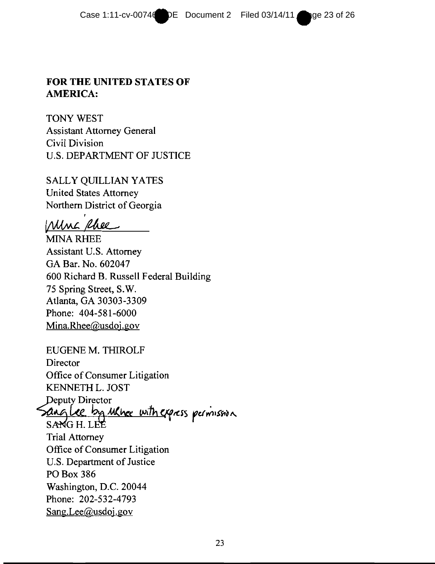# **FOR THE UNITED STATES OF FOR THE UNITED STATES OF AMERICA:**

TONY WEST TONY WEST Assistant Attorney General Assistant Attorney General Civil Civil Division U.S. DEPARTMENT OF JUSTICE

SALLY QUILLIAN YATES United States Attorney Northern District of Georgia U.S. DEPARTMENT OF<br>SALL Y QUILLIAN YAT<br>United States Attorney

Mina Rhee

MINA RHEE Assistant U.S. Attorney U.S. Attorney GA Bar. No. 602047 GA Bar. No. 602047 600 Richard B. Russell Federal Building 600 Richard B. Russell Building 75 Spring Street, S.W. 75 Street, S.W. Atlanta, GA 30303-3309 Atlanta, GA 30303-3309 Phone: 404-581-6000 404-581-6000 Mina.Rhee@usdoj.gov Mina.Rhee@usdoj.gov

EUGENE M. THIROLF Director Director Office of Consumer Litigation Office of Consumer Litigation KENNETH L. JOST L. JOST Deputy Director Sang Lee by ulbre with express permission SANG H. LEE Trial Attorney Attorney Office of Consumer Litigation U.S. Department of Justice U.S. Department of Justice POBox 386 POBox 386 Washington, D.C. 20044 Washington, D.C. 20044 Phone: 202-532-4793 Phone: 202-532-4793 Sang.Lee@usdoi·gov Sang.Lee@usdoj.gov  $\frac{2}{3}$ <br> $\frac{23}{3}$ <br> $\frac{23}{3}$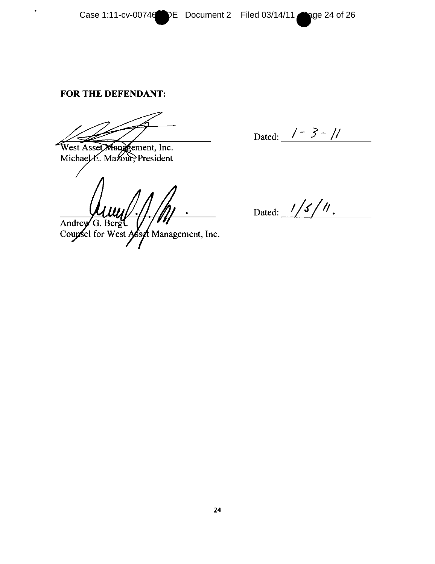• • Case 1:11-cv-00746 DE Document 2 Filed 03/14/11 age 24 of 26

#### **FOR THE DEFENDANT: FOR THE**

 $\bullet$ 

West Asset Management, Inc. Michael E. Mazour, President

Andrey  $\sqrt{G}$ . Berg

Coupsel for West Asset Management, Inc.

Dated:  $1 - 3 - 11$ 

Dated:  $1/5/11$ .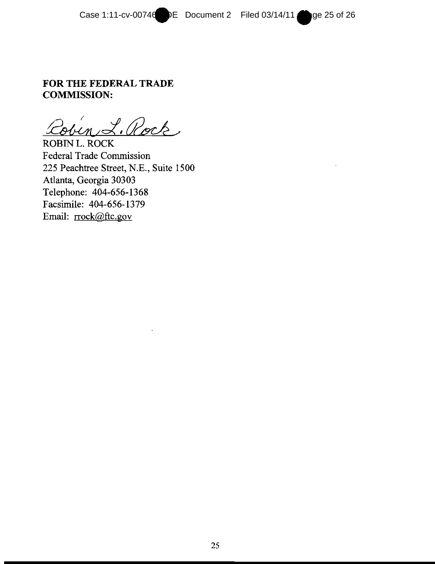# FOR THE FEDERAL TRADE FOR **COMMISSION:**

Cobin 2. Rock

Federal Trade Commission 225 Peachtree Street, N.E., Suite 1500 Atlanta, Georgia 30303 Telephone: 404-656-1368 Facsimile: 404-656-1379 Email: rrock@ftc.gov ROBIN L. ROCK Case 1:11-cv-00746 DE Document 2 Filed 03/14/11 Oge 2<br> **FOR THE FEDERAL TRADE**<br> **COMMISSION:**<br>
COMMISSION:<br>
ROBIN L. ROCK<br>
ROBIN L. ROCK<br>
Packeral Trade Commission<br>
225 Peachtree Street, N.E., Suite 1500<br>
Atlanta, Georgia